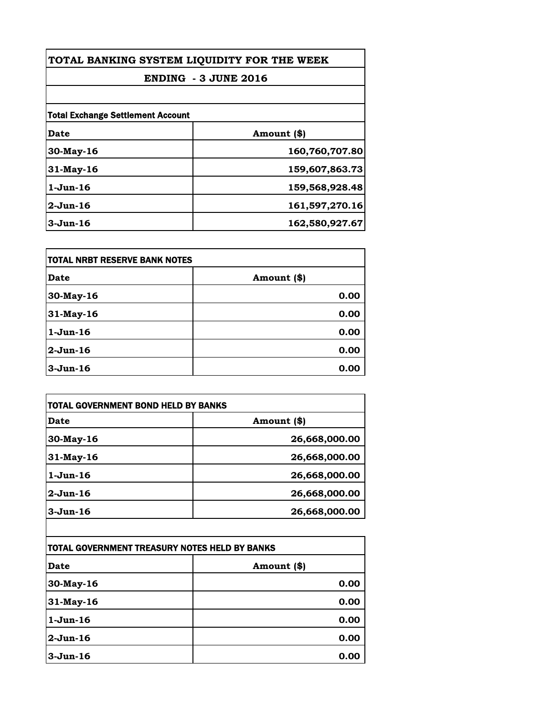| TOTAL BANKING SYSTEM LIQUIDITY FOR THE WEEK<br><b>ENDING - 3 JUNE 2016</b> |                |
|----------------------------------------------------------------------------|----------------|
|                                                                            |                |
| <b>Total Exchange Settlement Account</b>                                   |                |
| Date                                                                       | Amount (\$)    |
| $30$ -May-16                                                               | 160,760,707.80 |
| $31$ -May-16                                                               | 159,607,863.73 |
| $1-J$ un $-16$                                                             | 159,568,928.48 |
| $2-Jun-16$                                                                 | 161,597,270.16 |
| $3-Jun-16$                                                                 | 162,580,927.67 |

| itotal NRBT RESERVE BANK NOTES |             |
|--------------------------------|-------------|
| <b>Date</b>                    | Amount (\$) |
| 30-May-16                      | 0.00        |
| 31-May-16                      | 0.00        |
| $1-Jun-16$                     | 0.00        |
| $2$ -Jun-16                    | 0.00        |
| $3-Jun-16$                     | 0.00        |

| TOTAL GOVERNMENT BOND HELD BY BANKS           |               |
|-----------------------------------------------|---------------|
| <b>Date</b>                                   | Amount (\$)   |
| 30-May-16                                     | 26,668,000.00 |
| 31-May-16                                     | 26,668,000.00 |
| $1-Jun-16$                                    | 26,668,000.00 |
| $2-Jun-16$                                    | 26,668,000.00 |
| $3-Jun-16$                                    | 26,668,000.00 |
|                                               |               |
| TOTAL GOVERNMENT TREASURY NOTES HELD BY BANKS |               |
| Date                                          | Amount (\$)   |
| 30-May-16                                     | 0.00          |
| $21$ M <sub>ov</sub> $16$                     | ስ ስስ          |

| JU-May-lo   | v.vv |
|-------------|------|
| 31-May-16   | 0.00 |
| $1-Jun-16$  | 0.00 |
| $2$ -Jun-16 | 0.00 |
| $3$ -Jun-16 | 0.00 |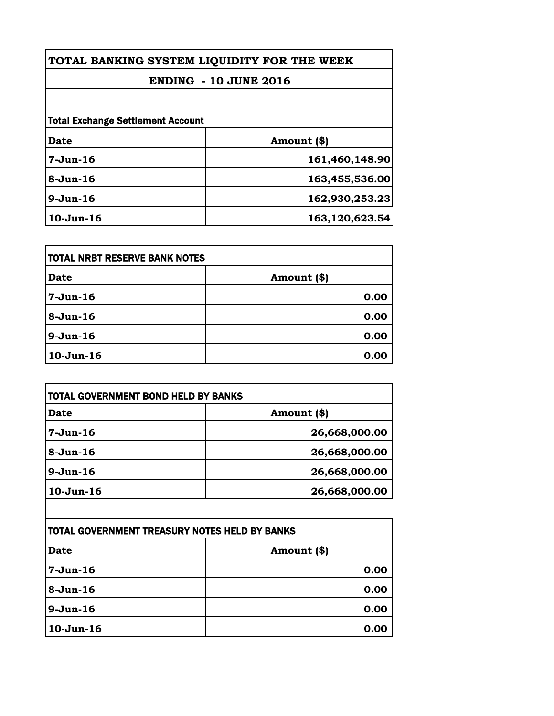| TOTAL BANKING SYSTEM LIQUIDITY FOR THE WEEK                              |                |          |                |
|--------------------------------------------------------------------------|----------------|----------|----------------|
| <b>ENDING - 10 JUNE 2016</b><br><b>Total Exchange Settlement Account</b> |                |          |                |
|                                                                          |                | Date     | Amount (\$)    |
|                                                                          |                | 7-Jun-16 | 161,460,148.90 |
| $8-Jun-16$                                                               | 163,455,536.00 |          |                |
| $9-Jun-16$                                                               | 162,930,253.23 |          |                |
| $10-Jun-16$                                                              | 163,120,623.54 |          |                |

| <b>TOTAL NRBT RESERVE BANK NOTES</b> |             |
|--------------------------------------|-------------|
| <b>Date</b>                          | Amount (\$) |
| 7-Jun-16                             | 0.00        |
| $8 - Jun-16$                         | 0.00        |
| $9-Jun-16$                           | 0.00        |
| $10-Jun-16$                          | 0.00        |

| TOTAL GOVERNMENT BOND HELD BY BANKS |               |
|-------------------------------------|---------------|
| <b>Date</b>                         | Amount (\$)   |
| $7-Jun-16$                          | 26,668,000.00 |
| $8 - Jun-16$                        | 26,668,000.00 |
| $9-Jun-16$                          | 26,668,000.00 |
| $10-Jun-16$                         | 26,668,000.00 |

| ITOTAL GOVERNMENT TREASURY NOTES HELD BY BANKS |             |
|------------------------------------------------|-------------|
| <b>Date</b>                                    | Amount (\$) |
| $7-Jun-16$                                     | 0.00        |
| 8-Jun-16                                       | 0.00        |
| $9-Jun-16$                                     | 0.00        |
| $10-Jun-16$                                    | 0.00        |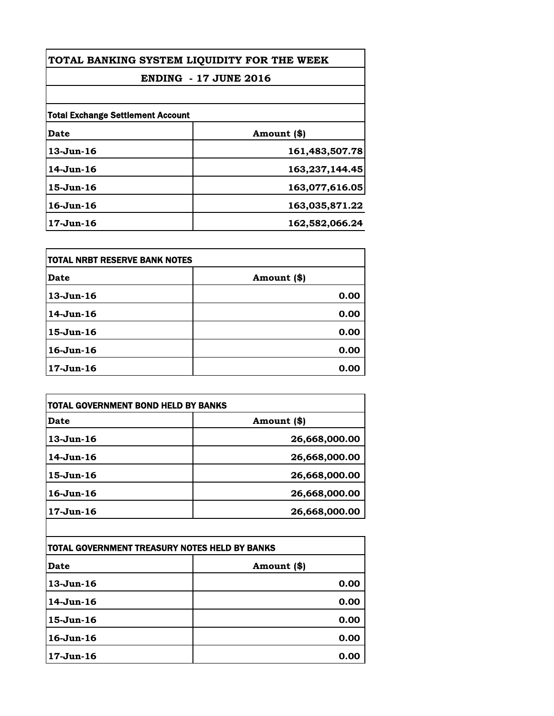| TOTAL BANKING SYSTEM LIQUIDITY FOR THE WEEK<br><b>ENDING - 17 JUNE 2016</b> |                |
|-----------------------------------------------------------------------------|----------------|
|                                                                             |                |
| <b>Total Exchange Settlement Account</b>                                    |                |
| Date                                                                        | Amount (\$)    |
| $13$ -Jun-16                                                                | 161,483,507.78 |
| 14-Jun-16                                                                   | 163,237,144.45 |
| $15$ -Jun- $16$                                                             | 163,077,616.05 |
| $16$ -Jun- $16$                                                             | 163,035,871.22 |
| 17-Jun-16                                                                   | 162,582,066.24 |

| <b>TOTAL NRBT RESERVE BANK NOTES</b> |             |
|--------------------------------------|-------------|
| Date                                 | Amount (\$) |
| $13$ -Jun-16                         | 0.00        |
| 14-Jun-16                            | 0.00        |
| $15$ -Jun-16                         | 0.00        |
| $16$ -Jun- $16$                      | 0.00        |
| $17-Jun-16$                          | 0.00        |

| TOTAL GOVERNMENT BOND HELD BY BANKS           |               |
|-----------------------------------------------|---------------|
| <b>Date</b>                                   | Amount (\$)   |
| $13$ -Jun-16                                  | 26,668,000.00 |
| 14-Jun-16                                     | 26,668,000.00 |
| 15-Jun-16                                     | 26,668,000.00 |
| $16 - Jun - 16$                               | 26,668,000.00 |
| $17 - Jun - 16$                               | 26,668,000.00 |
|                                               |               |
| TOTAL GOVERNMENT TREASURY NOTES HELD BY BANKS |               |
| Date                                          | Amount (\$)   |
|                                               |               |

| <b>Date</b>  | Amount (\$) |
|--------------|-------------|
| $13$ -Jun-16 | 0.00        |
| $14$ -Jun-16 | 0.00        |
| $15$ -Jun-16 | 0.00        |
| $16$ -Jun-16 | 0.00        |
| 17-Jun-16    | 0.00        |
|              |             |